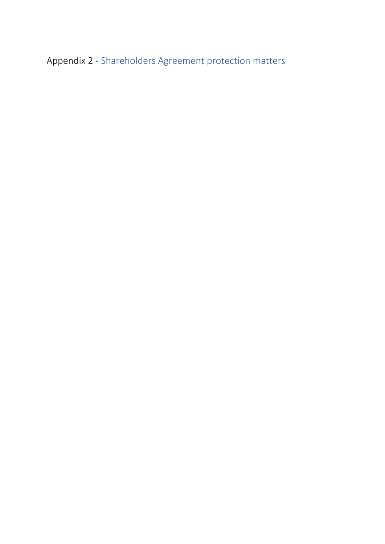Appendix 2 - Shareholders Agreement protection matters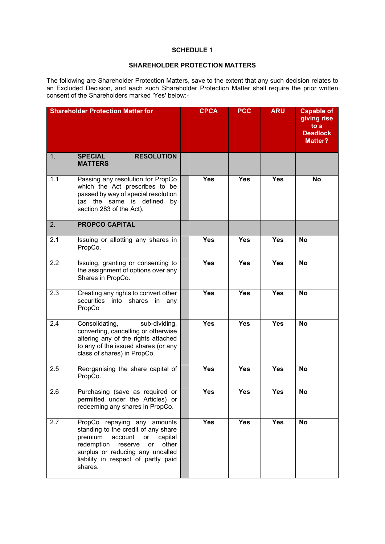## **SCHEDULE 1**

## **SHAREHOLDER PROTECTION MATTERS**

The following are Shareholder Protection Matters, save to the extent that any such decision relates to an Excluded Decision, and each such Shareholder Protection Matter shall require the prior written consent of the Shareholders marked 'Yes' below:-

|     | <b>Shareholder Protection Matter for</b>                                                                                                                                                                                                | <b>CPCA</b> | <b>PCC</b> | <b>ARU</b> | <b>Capable of</b><br>giving rise<br>to a<br><b>Deadlock</b><br><b>Matter?</b> |
|-----|-----------------------------------------------------------------------------------------------------------------------------------------------------------------------------------------------------------------------------------------|-------------|------------|------------|-------------------------------------------------------------------------------|
| 1.  | <b>RESOLUTION</b><br><b>SPECIAL</b><br><b>MATTERS</b>                                                                                                                                                                                   |             |            |            |                                                                               |
| 1.1 | Passing any resolution for PropCo<br>which the Act prescribes to be<br>passed by way of special resolution<br>(as the same is defined<br>by<br>section 283 of the Act).                                                                 | <b>Yes</b>  | <b>Yes</b> | <b>Yes</b> | No                                                                            |
| 2.  | <b>PROPCO CAPITAL</b>                                                                                                                                                                                                                   |             |            |            |                                                                               |
| 2.1 | Issuing or allotting any shares in<br>PropCo.                                                                                                                                                                                           | <b>Yes</b>  | <b>Yes</b> | <b>Yes</b> | No                                                                            |
| 2.2 | Issuing, granting or consenting to<br>the assignment of options over any<br>Shares in PropCo.                                                                                                                                           | <b>Yes</b>  | <b>Yes</b> | <b>Yes</b> | <b>No</b>                                                                     |
| 2.3 | Creating any rights to convert other<br>securities<br>into shares<br>in<br>any<br>PropCo                                                                                                                                                | <b>Yes</b>  | <b>Yes</b> | <b>Yes</b> | <b>No</b>                                                                     |
| 2.4 | Consolidating,<br>sub-dividing,<br>converting, cancelling or otherwise<br>altering any of the rights attached<br>to any of the issued shares (or any<br>class of shares) in PropCo.                                                     | <b>Yes</b>  | <b>Yes</b> | <b>Yes</b> | <b>No</b>                                                                     |
| 2.5 | Reorganising the share capital of<br>PropCo.                                                                                                                                                                                            | <b>Yes</b>  | <b>Yes</b> | <b>Yes</b> | <b>No</b>                                                                     |
| 2.6 | Purchasing (save as required or<br>permitted under the Articles) or<br>redeeming any shares in PropCo.                                                                                                                                  | <b>Yes</b>  | Yes        | <b>Yes</b> | <b>No</b>                                                                     |
| 2.7 | PropCo repaying any amounts<br>standing to the credit of any share<br>premium<br>account<br>capital<br>or<br>redemption<br>other<br>reserve<br>or<br>surplus or reducing any uncalled<br>liability in respect of partly paid<br>shares. | Yes         | <b>Yes</b> | <b>Yes</b> | No                                                                            |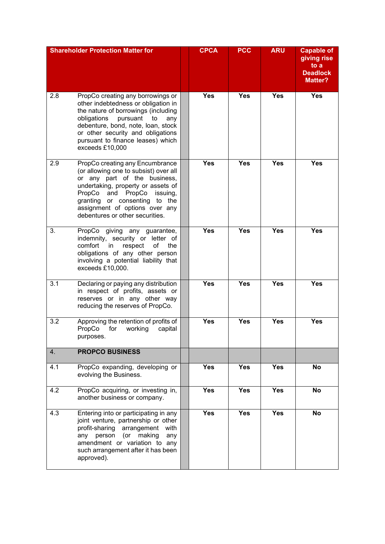| <b>Shareholder Protection Matter for</b> |                                                                                                                                                                                                                                                                                             | <b>CPCA</b> | <b>PCC</b> | <b>ARU</b> | <b>Capable of</b><br>giving rise<br>to a<br><b>Deadlock</b><br><b>Matter?</b> |
|------------------------------------------|---------------------------------------------------------------------------------------------------------------------------------------------------------------------------------------------------------------------------------------------------------------------------------------------|-------------|------------|------------|-------------------------------------------------------------------------------|
| 2.8                                      | PropCo creating any borrowings or<br>other indebtedness or obligation in<br>the nature of borrowings (including<br>obligations<br>pursuant<br>to<br>any<br>debenture, bond, note, loan, stock<br>or other security and obligations<br>pursuant to finance leases) which<br>exceeds £10,000  | <b>Yes</b>  | <b>Yes</b> | <b>Yes</b> | <b>Yes</b>                                                                    |
| 2.9                                      | PropCo creating any Encumbrance<br>(or allowing one to subsist) over all<br>or any part of the business,<br>undertaking, property or assets of<br>PropCo<br>PropCo and<br>issuing,<br>granting or consenting<br>to the<br>assignment of options over any<br>debentures or other securities. | <b>Yes</b>  | <b>Yes</b> | <b>Yes</b> | <b>Yes</b>                                                                    |
| 3.                                       | PropCo giving any guarantee,<br>indemnity, security or letter of<br>of<br>comfort<br>respect<br>the<br>in<br>obligations of any other person<br>involving a potential liability that<br>exceeds £10,000.                                                                                    | <b>Yes</b>  | <b>Yes</b> | <b>Yes</b> | <b>Yes</b>                                                                    |
| 3.1                                      | Declaring or paying any distribution<br>in respect of profits, assets or<br>reserves or in any other way<br>reducing the reserves of PropCo.                                                                                                                                                | <b>Yes</b>  | <b>Yes</b> | <b>Yes</b> | <b>Yes</b>                                                                    |
| 3.2                                      | Approving the retention of profits of<br>PropCo<br>for<br>working<br>capital<br>purposes.                                                                                                                                                                                                   | <b>Yes</b>  | <b>Yes</b> | <b>Yes</b> | <b>Yes</b>                                                                    |
| 4.                                       | <b>PROPCO BUSINESS</b>                                                                                                                                                                                                                                                                      |             |            |            |                                                                               |
| 4.1                                      | PropCo expanding, developing or<br>evolving the Business.                                                                                                                                                                                                                                   | <b>Yes</b>  | <b>Yes</b> | <b>Yes</b> | No                                                                            |
| 4.2                                      | PropCo acquiring, or investing in,<br>another business or company.                                                                                                                                                                                                                          | <b>Yes</b>  | <b>Yes</b> | <b>Yes</b> | No                                                                            |
| 4.3                                      | Entering into or participating in any<br>joint venture, partnership or other<br>profit-sharing arrangement<br>with<br>any person (or<br>making<br>any<br>amendment or variation to any<br>such arrangement after it has been<br>approved).                                                  | Yes         | Yes        | <b>Yes</b> | <b>No</b>                                                                     |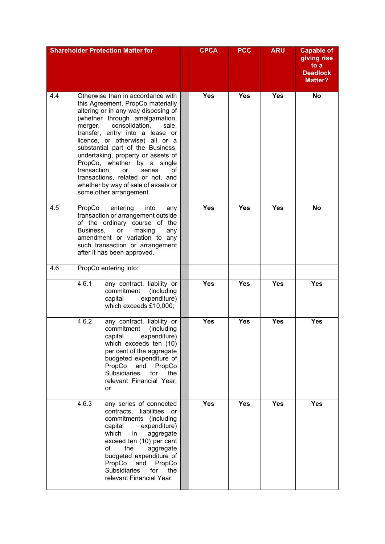| <b>Shareholder Protection Matter for</b> |                                                                                                                                                                                                                                                                                                                                                                                                                                                                                                                   |                                                                                                                                                                                                                                                                                                                    | <b>CPCA</b> | <b>PCC</b> | <b>ARU</b> | <b>Capable of</b><br>giving rise<br>to a<br><b>Deadlock</b><br><b>Matter?</b> |
|------------------------------------------|-------------------------------------------------------------------------------------------------------------------------------------------------------------------------------------------------------------------------------------------------------------------------------------------------------------------------------------------------------------------------------------------------------------------------------------------------------------------------------------------------------------------|--------------------------------------------------------------------------------------------------------------------------------------------------------------------------------------------------------------------------------------------------------------------------------------------------------------------|-------------|------------|------------|-------------------------------------------------------------------------------|
| 4.4                                      | Otherwise than in accordance with<br>this Agreement, PropCo materially<br>altering or in any way disposing of<br>(whether through amalgamation,<br>consolidation,<br>merger,<br>sale,<br>transfer, entry into a lease or<br>licence, or otherwise) all or a<br>substantial part of the Business,<br>undertaking, property or assets of<br>PropCo, whether by a single<br>transaction<br>series<br>οf<br>or<br>transactions, related or not, and<br>whether by way of sale of assets or<br>some other arrangement. |                                                                                                                                                                                                                                                                                                                    | <b>Yes</b>  | <b>Yes</b> | <b>Yes</b> | <b>No</b>                                                                     |
| 4.5                                      | PropCo<br>entering<br>into<br>any<br>transaction or arrangement outside<br>of the ordinary course of the<br>making<br>Business,<br>or<br>any<br>amendment or variation to any<br>such transaction or arrangement<br>after it has been approved.                                                                                                                                                                                                                                                                   |                                                                                                                                                                                                                                                                                                                    | <b>Yes</b>  | <b>Yes</b> | <b>Yes</b> | <b>No</b>                                                                     |
| 4.6                                      |                                                                                                                                                                                                                                                                                                                                                                                                                                                                                                                   | PropCo entering into:                                                                                                                                                                                                                                                                                              |             |            |            |                                                                               |
|                                          | 4.6.1                                                                                                                                                                                                                                                                                                                                                                                                                                                                                                             | any contract, liability or<br>commitment<br>(including<br>expenditure)<br>capital<br>which exceeds £10,000;                                                                                                                                                                                                        | <b>Yes</b>  | <b>Yes</b> | <b>Yes</b> | <b>Yes</b>                                                                    |
|                                          | 4.6.2                                                                                                                                                                                                                                                                                                                                                                                                                                                                                                             | any contract, liability or<br>commitment<br>(including<br>capital<br>expenditure)<br>which exceeds ten (10)<br>per cent of the aggregate<br>budgeted expenditure of<br>PropCo<br>and<br>PropCo<br><b>Subsidiaries</b><br>for<br>the<br>relevant Financial Year;<br>or                                              | <b>Yes</b>  | <b>Yes</b> | <b>Yes</b> | <b>Yes</b>                                                                    |
|                                          | 4.6.3                                                                                                                                                                                                                                                                                                                                                                                                                                                                                                             | any series of connected<br>contracts,<br>liabilities<br>or<br>commitments (including<br>capital<br>expenditure)<br>which<br>aggregate<br>in.<br>exceed ten (10) per cent<br>of<br>the<br>aggregate<br>budgeted expenditure of<br>PropCo<br>and<br>PropCo<br>Subsidiaries<br>for<br>the<br>relevant Financial Year. | <b>Yes</b>  | <b>Yes</b> | <b>Yes</b> | Yes                                                                           |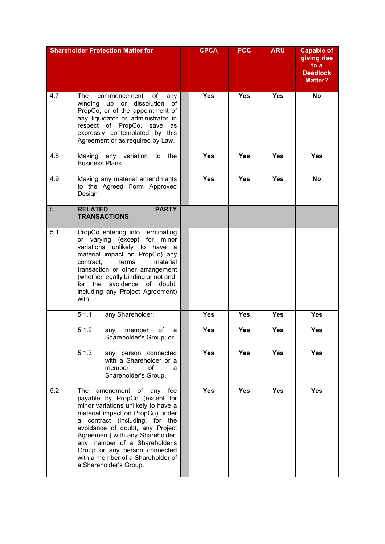|     | <b>Shareholder Protection Matter for</b>                                                                                                                                                                                                                                                                                                                                                      | <b>CPCA</b> | <b>PCC</b> | <b>ARU</b> | <b>Capable of</b><br>giving rise<br>to a<br><b>Deadlock</b><br><b>Matter?</b> |
|-----|-----------------------------------------------------------------------------------------------------------------------------------------------------------------------------------------------------------------------------------------------------------------------------------------------------------------------------------------------------------------------------------------------|-------------|------------|------------|-------------------------------------------------------------------------------|
| 4.7 | The<br>commencement<br>of<br>any<br>up or dissolution<br>winding<br>of<br>PropCo, or of the appointment of<br>any liquidator or administrator in<br>respect of PropCo, save<br>as<br>expressly contemplated by this<br>Agreement or as required by Law.                                                                                                                                       | <b>Yes</b>  | <b>Yes</b> | <b>Yes</b> | <b>No</b>                                                                     |
| 4.8 | Making any variation<br>the<br>to<br><b>Business Plans</b>                                                                                                                                                                                                                                                                                                                                    | <b>Yes</b>  | <b>Yes</b> | <b>Yes</b> | <b>Yes</b>                                                                    |
| 4.9 | Making any material amendments<br>to the Agreed Form Approved<br>Design                                                                                                                                                                                                                                                                                                                       | <b>Yes</b>  | <b>Yes</b> | <b>Yes</b> | <b>No</b>                                                                     |
| 5.  | <b>RELATED</b><br><b>PARTY</b><br><b>TRANSACTIONS</b>                                                                                                                                                                                                                                                                                                                                         |             |            |            |                                                                               |
| 5.1 | PropCo entering into, terminating<br>or varying (except for minor<br>unlikely to have a<br>variations<br>material impact on PropCo) any<br>contract,<br>terms,<br>material<br>transaction or other arrangement<br>(whether legally binding or not and,<br>for the avoidance of doubt,<br>including any Project Agreement)<br>with:                                                            |             |            |            |                                                                               |
|     | 5.1.1<br>any Shareholder;                                                                                                                                                                                                                                                                                                                                                                     | <b>Yes</b>  | <b>Yes</b> | Yes        | <b>Yes</b>                                                                    |
|     | 5.1.2<br>member<br>of<br>any<br>a<br>Shareholder's Group; or                                                                                                                                                                                                                                                                                                                                  | <b>Yes</b>  | <b>Yes</b> | <b>Yes</b> | <b>Yes</b>                                                                    |
|     | 5.1.3<br>any person connected<br>with a Shareholder or a<br>member<br>οf<br>a<br>Shareholder's Group.                                                                                                                                                                                                                                                                                         | <b>Yes</b>  | <b>Yes</b> | <b>Yes</b> | <b>Yes</b>                                                                    |
| 5.2 | amendment<br>The<br>of<br>any<br>fee<br>payable by PropCo (except for<br>minor variations unlikely to have a<br>material impact on PropCo) under<br>contract (including, for the<br>a<br>avoidance of doubt, any Project<br>Agreement) with any Shareholder,<br>any member of a Shareholder's<br>Group or any person connected<br>with a member of a Shareholder of<br>a Shareholder's Group. | <b>Yes</b>  | <b>Yes</b> | <b>Yes</b> | <b>Yes</b>                                                                    |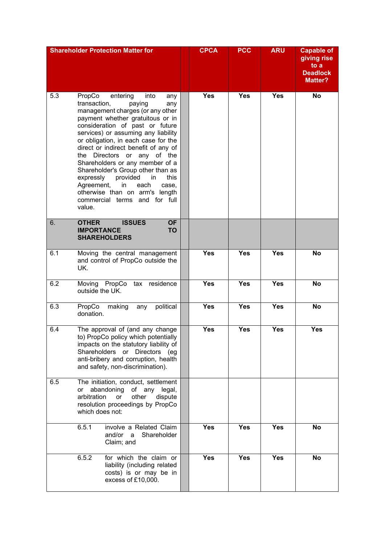| <b>Shareholder Protection Matter for</b> |                                                                                                                                                                                                                                                                                                                                                                                                                                                                                                                                                                     |  | <b>CPCA</b> | <b>PCC</b> | <b>ARU</b> | <b>Capable of</b><br>giving rise<br>to a<br><b>Deadlock</b><br><b>Matter?</b> |
|------------------------------------------|---------------------------------------------------------------------------------------------------------------------------------------------------------------------------------------------------------------------------------------------------------------------------------------------------------------------------------------------------------------------------------------------------------------------------------------------------------------------------------------------------------------------------------------------------------------------|--|-------------|------------|------------|-------------------------------------------------------------------------------|
| 5.3                                      | PropCo<br>entering<br>into<br>any<br>transaction,<br>paying<br>any<br>management charges (or any other<br>payment whether gratuitous or in<br>consideration of past or future<br>services) or assuming any liability<br>or obligation, in each case for the<br>direct or indirect benefit of any of<br>the Directors or any of the<br>Shareholders or any member of a<br>Shareholder's Group other than as<br>expressly<br>provided<br>this<br>in<br>Agreement,<br>in<br>each<br>case,<br>otherwise than on arm's length<br>commercial terms and for full<br>value. |  | <b>Yes</b>  | <b>Yes</b> | <b>Yes</b> | <b>No</b>                                                                     |
| 6.                                       | <b>OTHER</b><br><b>ISSUES</b><br><b>OF</b><br><b>TO</b><br><b>IMPORTANCE</b><br><b>SHAREHOLDERS</b>                                                                                                                                                                                                                                                                                                                                                                                                                                                                 |  |             |            |            |                                                                               |
| 6.1                                      | Moving the central management<br>and control of PropCo outside the<br>UK.                                                                                                                                                                                                                                                                                                                                                                                                                                                                                           |  | <b>Yes</b>  | <b>Yes</b> | <b>Yes</b> | No                                                                            |
| 6.2                                      | Moving PropCo tax residence<br>outside the UK.                                                                                                                                                                                                                                                                                                                                                                                                                                                                                                                      |  | <b>Yes</b>  | <b>Yes</b> | <b>Yes</b> | <b>No</b>                                                                     |
| 6.3                                      | PropCo<br>political<br>making<br>any<br>donation.                                                                                                                                                                                                                                                                                                                                                                                                                                                                                                                   |  | <b>Yes</b>  | <b>Yes</b> | <b>Yes</b> | <b>No</b>                                                                     |
| 6.4                                      | The approval of (and any change<br>to) PropCo policy which potentially<br>impacts on the statutory liability of<br>Directors (eg<br>Shareholders<br>or<br>anti-bribery and corruption, health<br>and safety, non-discrimination).                                                                                                                                                                                                                                                                                                                                   |  | <b>Yes</b>  | <b>Yes</b> | <b>Yes</b> | <b>Yes</b>                                                                    |
| 6.5                                      | The initiation, conduct, settlement<br>abandoning<br>of any<br>legal,<br>or<br>arbitration<br>other<br>dispute<br><b>or</b><br>resolution proceedings by PropCo<br>which does not:                                                                                                                                                                                                                                                                                                                                                                                  |  |             |            |            |                                                                               |
|                                          | 6.5.1<br>involve a Related Claim<br>and/or<br>Shareholder<br>a<br>Claim; and                                                                                                                                                                                                                                                                                                                                                                                                                                                                                        |  | <b>Yes</b>  | <b>Yes</b> | <b>Yes</b> | No                                                                            |
|                                          | 6.5.2<br>for which the claim or<br>liability (including related<br>costs) is or may be in<br>excess of £10,000.                                                                                                                                                                                                                                                                                                                                                                                                                                                     |  | <b>Yes</b>  | <b>Yes</b> | <b>Yes</b> | No                                                                            |